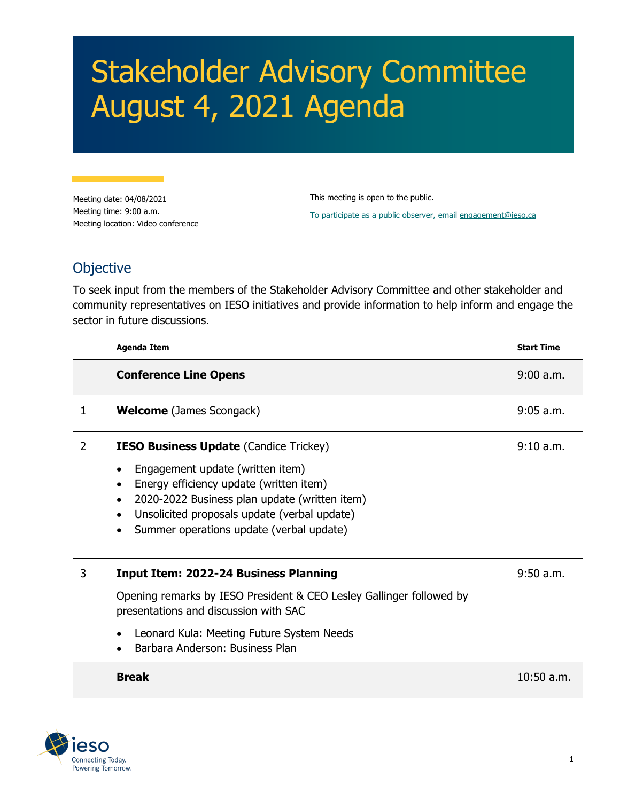## Stakeholder Advisory Committee August 4, 2021 Agenda

Meeting date: 04/08/2021 Meeting time: 9:00 a.m. Meeting location: Video conference This meeting is open to the public. To participate as a public observer, email [engagement@ieso.ca](mailto:engagement@ieso.ca)

## **Objective**

To seek input from the members of the Stakeholder Advisory Committee and other stakeholder and community representatives on IESO initiatives and provide information to help inform and engage the sector in future discussions.

|    | <b>Agenda Item</b>                                                                                                                                                                                                       | <b>Start Time</b> |
|----|--------------------------------------------------------------------------------------------------------------------------------------------------------------------------------------------------------------------------|-------------------|
|    | <b>Conference Line Opens</b>                                                                                                                                                                                             | 9:00 a.m.         |
| 1. | <b>Welcome</b> (James Scongack)                                                                                                                                                                                          | $9:05$ a.m.       |
| 2  | <b>IESO Business Update (Candice Trickey)</b>                                                                                                                                                                            | 9:10 a.m.         |
|    | Engagement update (written item)<br>Energy efficiency update (written item)<br>2020-2022 Business plan update (written item)<br>Unsolicited proposals update (verbal update)<br>Summer operations update (verbal update) |                   |
| 3  | <b>Input Item: 2022-24 Business Planning</b>                                                                                                                                                                             | $9:50$ a.m.       |
|    | Opening remarks by IESO President & CEO Lesley Gallinger followed by<br>presentations and discussion with SAC                                                                                                            |                   |
|    | Leonard Kula: Meeting Future System Needs<br>Barbara Anderson: Business Plan                                                                                                                                             |                   |
|    | <b>Break</b>                                                                                                                                                                                                             | $10:50$ a.m.      |